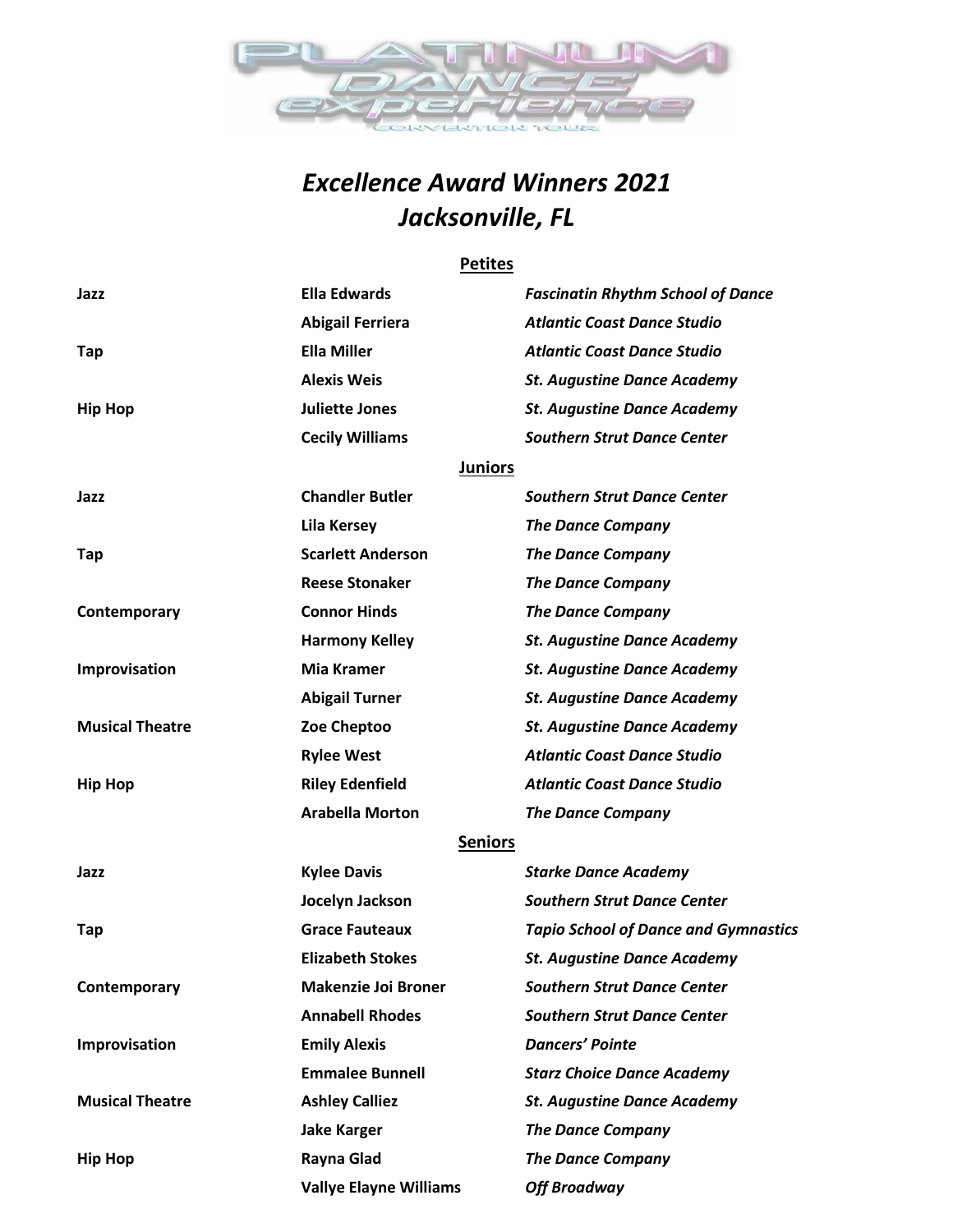

## *Excellence Award Winners 2021 Jacksonville, FL*

#### **Petites**

| Jazz                   | <b>Ella Edwards</b>           | <b>Fascinatin Rhythm School of Dance</b>    |
|------------------------|-------------------------------|---------------------------------------------|
|                        | <b>Abigail Ferriera</b>       | <b>Atlantic Coast Dance Studio</b>          |
| Tap                    | <b>Ella Miller</b>            | <b>Atlantic Coast Dance Studio</b>          |
|                        | <b>Alexis Weis</b>            | <b>St. Augustine Dance Academy</b>          |
| <b>Hip Hop</b>         | <b>Juliette Jones</b>         | <b>St. Augustine Dance Academy</b>          |
|                        | <b>Cecily Williams</b>        | <b>Southern Strut Dance Center</b>          |
|                        | <b>Juniors</b>                |                                             |
| Jazz                   | <b>Chandler Butler</b>        | <b>Southern Strut Dance Center</b>          |
|                        | <b>Lila Kersey</b>            | <b>The Dance Company</b>                    |
| Tap                    | <b>Scarlett Anderson</b>      | <b>The Dance Company</b>                    |
|                        | <b>Reese Stonaker</b>         | <b>The Dance Company</b>                    |
| Contemporary           | <b>Connor Hinds</b>           | <b>The Dance Company</b>                    |
|                        | <b>Harmony Kelley</b>         | <b>St. Augustine Dance Academy</b>          |
| Improvisation          | Mia Kramer                    | <b>St. Augustine Dance Academy</b>          |
|                        | <b>Abigail Turner</b>         | <b>St. Augustine Dance Academy</b>          |
| <b>Musical Theatre</b> | Zoe Cheptoo                   | <b>St. Augustine Dance Academy</b>          |
|                        | <b>Rylee West</b>             | <b>Atlantic Coast Dance Studio</b>          |
| <b>Hip Hop</b>         | <b>Riley Edenfield</b>        | <b>Atlantic Coast Dance Studio</b>          |
|                        | <b>Arabella Morton</b>        | <b>The Dance Company</b>                    |
|                        | <b>Seniors</b>                |                                             |
| Jazz                   | <b>Kylee Davis</b>            | <b>Starke Dance Academy</b>                 |
|                        | Jocelyn Jackson               | <b>Southern Strut Dance Center</b>          |
| Tap                    | <b>Grace Fauteaux</b>         | <b>Tapio School of Dance and Gymnastics</b> |
|                        | <b>Elizabeth Stokes</b>       | <b>St. Augustine Dance Academy</b>          |
| Contemporary           | <b>Makenzie Joi Broner</b>    | <b>Southern Strut Dance Center</b>          |
|                        | <b>Annabell Rhodes</b>        | <b>Southern Strut Dance Center</b>          |
| Improvisation          | <b>Emily Alexis</b>           | <b>Dancers' Pointe</b>                      |
|                        | <b>Emmalee Bunnell</b>        | <b>Starz Choice Dance Academy</b>           |
| <b>Musical Theatre</b> | <b>Ashley Calliez</b>         | <b>St. Augustine Dance Academy</b>          |
|                        | <b>Jake Karger</b>            | <b>The Dance Company</b>                    |
| <b>Hip Hop</b>         | Rayna Glad                    | <b>The Dance Company</b>                    |
|                        | <b>Vallye Elayne Williams</b> | <b>Off Broadway</b>                         |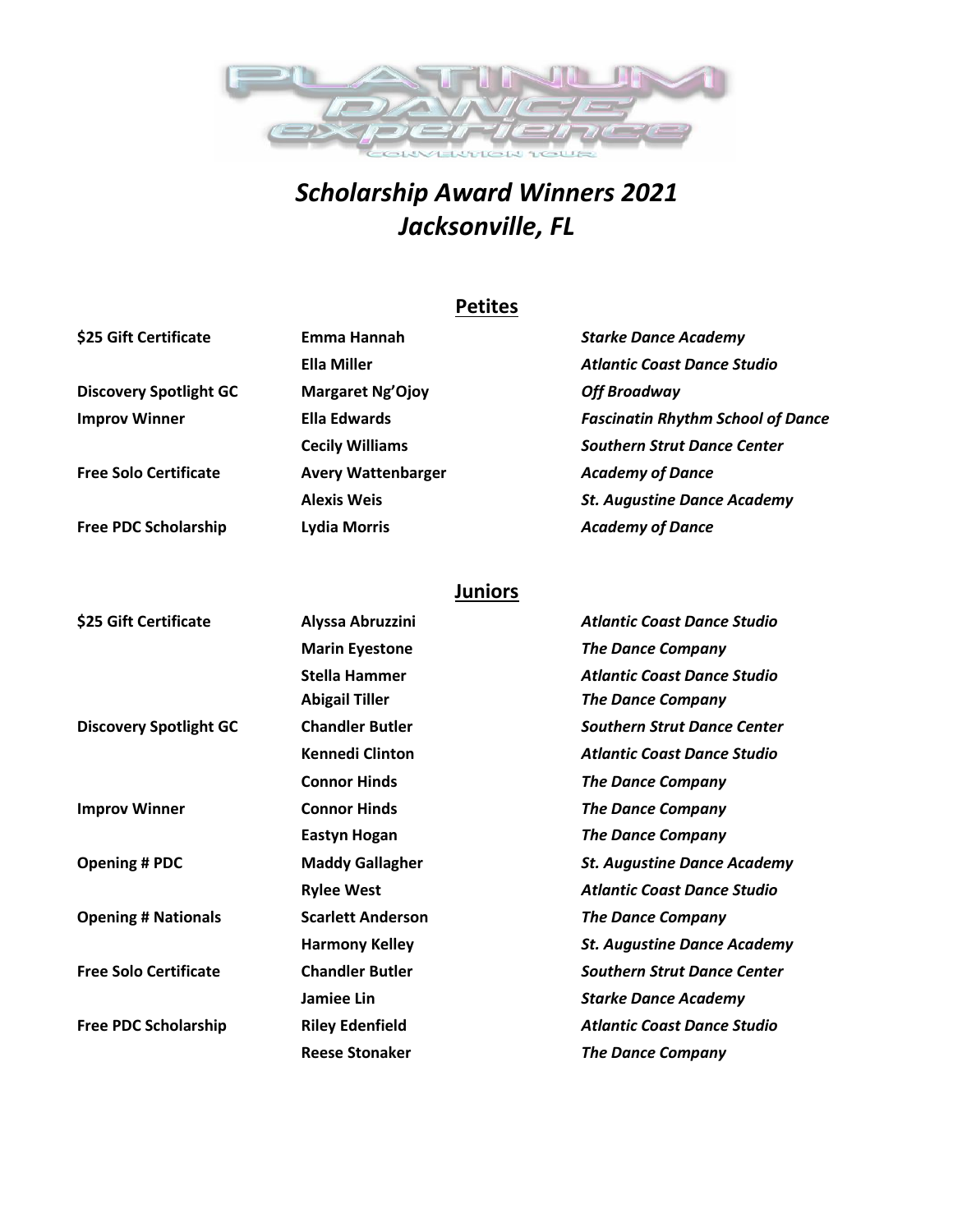

# *Scholarship Award Winners 2021 Jacksonville, FL*

### **Petites**

| Emma Hannah               | <b>Starke Dance Academy</b>              |
|---------------------------|------------------------------------------|
| Ella Miller               | <b>Atlantic Coast Dance Studio</b>       |
| <b>Margaret Ng'Ojoy</b>   | <b>Off Broadway</b>                      |
| Ella Edwards              | <b>Fascinatin Rhythm School of Dance</b> |
| <b>Cecily Williams</b>    | <b>Southern Strut Dance Center</b>       |
| <b>Avery Wattenbarger</b> | <b>Academy of Dance</b>                  |
| <b>Alexis Weis</b>        | <b>St. Augustine Dance Academy</b>       |
| <b>Lydia Morris</b>       | <b>Academy of Dance</b>                  |
|                           |                                          |

### **Juniors**

| \$25 Gift Certificate         | Alyssa Abruzzini         | <b>Atlantic Coast Dance Studio</b> |
|-------------------------------|--------------------------|------------------------------------|
|                               | <b>Marin Eyestone</b>    | <b>The Dance Company</b>           |
|                               | <b>Stella Hammer</b>     | <b>Atlantic Coast Dance Studio</b> |
|                               | <b>Abigail Tiller</b>    | <b>The Dance Company</b>           |
| <b>Discovery Spotlight GC</b> | <b>Chandler Butler</b>   | <b>Southern Strut Dance Center</b> |
|                               | <b>Kennedi Clinton</b>   | <b>Atlantic Coast Dance Studio</b> |
|                               | <b>Connor Hinds</b>      | <b>The Dance Company</b>           |
| <b>Improv Winner</b>          | <b>Connor Hinds</b>      | The Dance Company                  |
|                               | <b>Eastyn Hogan</b>      | <b>The Dance Company</b>           |
| <b>Opening # PDC</b>          | <b>Maddy Gallagher</b>   | <b>St. Augustine Dance Academy</b> |
|                               | <b>Rylee West</b>        | <b>Atlantic Coast Dance Studio</b> |
| <b>Opening # Nationals</b>    | <b>Scarlett Anderson</b> | <b>The Dance Company</b>           |
|                               | <b>Harmony Kelley</b>    | <b>St. Augustine Dance Academy</b> |
| <b>Free Solo Certificate</b>  | <b>Chandler Butler</b>   | <b>Southern Strut Dance Center</b> |
|                               | Jamiee Lin               | <b>Starke Dance Academy</b>        |
| <b>Free PDC Scholarship</b>   | <b>Riley Edenfield</b>   | <b>Atlantic Coast Dance Studio</b> |
|                               | <b>Reese Stonaker</b>    | <b>The Dance Company</b>           |